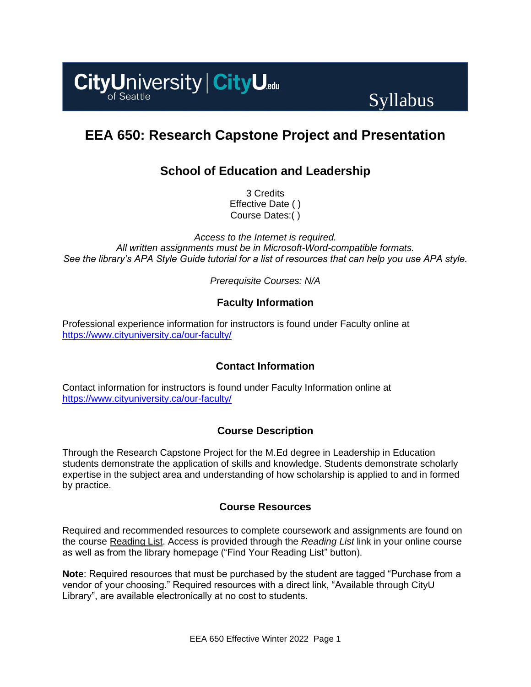

# Syllabus

# **EEA 650: Research Capstone Project and Presentation**

# **School of Education and Leadership**

3 Credits Effective Date ( ) Course Dates:( )

*Access to the Internet is required. All written assignments must be in Microsoft-Word-compatible formats. See the library's APA Style Guide tutorial for a list of resources that can help you use APA style.*

*Prerequisite Courses: N/A*

# **Faculty Information**

Professional experience information for instructors is found under Faculty online at <https://www.cityuniversity.ca/our-faculty/>

# **Contact Information**

Contact information for instructors is found under Faculty Information online at <https://www.cityuniversity.ca/our-faculty/>

# **Course Description**

Through the Research Capstone Project for the M.Ed degree in Leadership in Education students demonstrate the application of skills and knowledge. Students demonstrate scholarly expertise in the subject area and understanding of how scholarship is applied to and in formed by practice.

## **Course Resources**

Required and recommended resources to complete coursework and assignments are found on the course [Reading List.](https://cityu.alma.exlibrisgroup.com/leganto/login?auth=SAML) Access is provided through the *Reading List* link in your online course as well as from the library homepage ("Find Your Reading List" button).

**Note**: Required resources that must be purchased by the student are tagged "Purchase from a vendor of your choosing." Required resources with a direct link, "Available through CityU Library", are available electronically at no cost to students.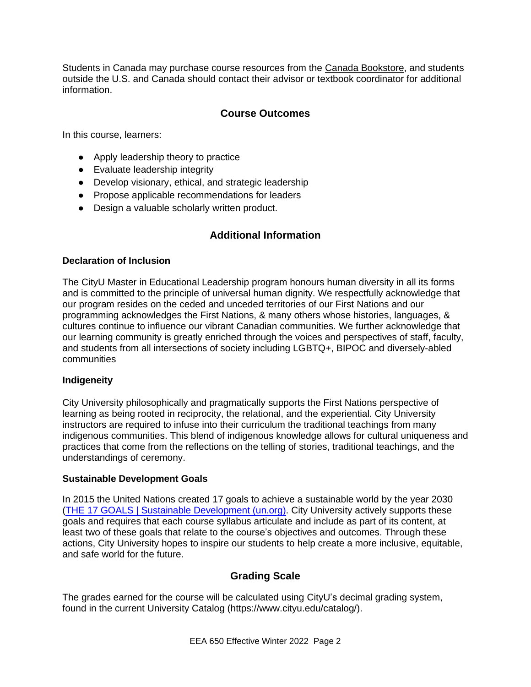Students in Canada may purchase course resources from the [Canada Bookstore,](https://www.cityubookstore.ca/index.asp) and students outside the U.S. and Canada should contact their advisor or textbook coordinator for additional information.

## **Course Outcomes**

In this course, learners:

- Apply leadership theory to practice
- Evaluate leadership integrity
- Develop visionary, ethical, and strategic leadership
- Propose applicable recommendations for leaders
- Design a valuable scholarly written product.

## **Additional Information**

#### **Declaration of Inclusion**

The CityU Master in Educational Leadership program honours human diversity in all its forms and is committed to the principle of universal human dignity. We respectfully acknowledge that our program resides on the ceded and unceded territories of our First Nations and our programming acknowledges the First Nations, & many others whose histories, languages, & cultures continue to influence our vibrant Canadian communities. We further acknowledge that our learning community is greatly enriched through the voices and perspectives of staff, faculty, and students from all intersections of society including LGBTQ+, BIPOC and diversely-abled communities

#### **Indigeneity**

City University philosophically and pragmatically supports the First Nations perspective of learning as being rooted in reciprocity, the relational, and the experiential. City University instructors are required to infuse into their curriculum the traditional teachings from many indigenous communities. This blend of indigenous knowledge allows for cultural uniqueness and practices that come from the reflections on the telling of stories, traditional teachings, and the understandings of ceremony.

#### **Sustainable Development Goals**

In 2015 the United Nations created 17 goals to achieve a sustainable world by the year 2030 [\(THE 17 GOALS | Sustainable Development \(un.org\).](https://sdgs.un.org/goals) City University actively supports these goals and requires that each course syllabus articulate and include as part of its content, at least two of these goals that relate to the course's objectives and outcomes. Through these actions, City University hopes to inspire our students to help create a more inclusive, equitable, and safe world for the future.

#### **Grading Scale**

The grades earned for the course will be calculated using CityU's decimal grading system, found in the current University Catalog [\(https://www.cityu.edu/catalog/\)](https://www.cityu.edu/catalog/).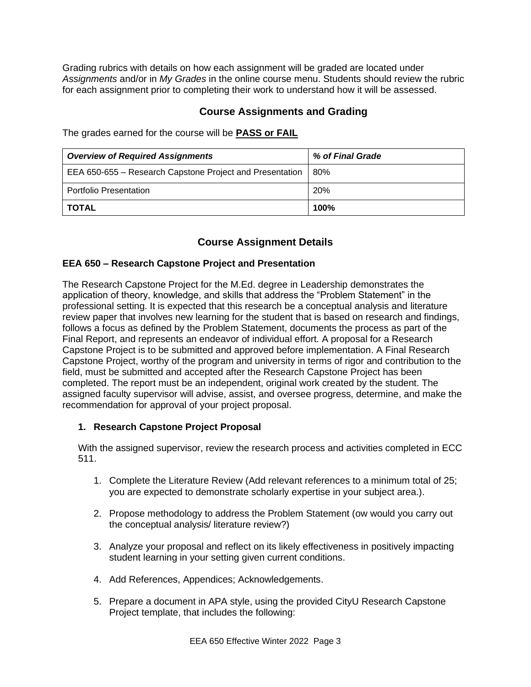Grading rubrics with details on how each assignment will be graded are located under *Assignments* and/or in *My Grades* in the online course menu. Students should review the rubric for each assignment prior to completing their work to understand how it will be assessed.

### **Course Assignments and Grading**

The grades earned for the course will be **PASS or FAIL**

| <b>Overview of Required Assignments</b>                  | % of Final Grade |
|----------------------------------------------------------|------------------|
| EEA 650-655 – Research Capstone Project and Presentation | 80%              |
| <b>Portfolio Presentation</b>                            | 20%              |
| <b>TOTAL</b>                                             | 100%             |

## **Course Assignment Details**

#### **EEA 650 – Research Capstone Project and Presentation**

The Research Capstone Project for the M.Ed. degree in Leadership demonstrates the application of theory, knowledge, and skills that address the "Problem Statement" in the professional setting. It is expected that this research be a conceptual analysis and literature review paper that involves new learning for the student that is based on research and findings, follows a focus as defined by the Problem Statement, documents the process as part of the Final Report, and represents an endeavor of individual effort. A proposal for a Research Capstone Project is to be submitted and approved before implementation. A Final Research Capstone Project, worthy of the program and university in terms of rigor and contribution to the field, must be submitted and accepted after the Research Capstone Project has been completed. The report must be an independent, original work created by the student. The assigned faculty supervisor will advise, assist, and oversee progress, determine, and make the recommendation for approval of your project proposal.

#### **1. Research Capstone Project Proposal**

With the assigned supervisor, review the research process and activities completed in ECC 511.

- 1. Complete the Literature Review (Add relevant references to a minimum total of 25; you are expected to demonstrate scholarly expertise in your subject area.).
- 2. Propose methodology to address the Problem Statement (ow would you carry out the conceptual analysis/ literature review?)
- 3. Analyze your proposal and reflect on its likely effectiveness in positively impacting student learning in your setting given current conditions.
- 4. Add References, Appendices; Acknowledgements.
- 5. Prepare a document in APA style, using the provided CityU Research Capstone Project template, that includes the following: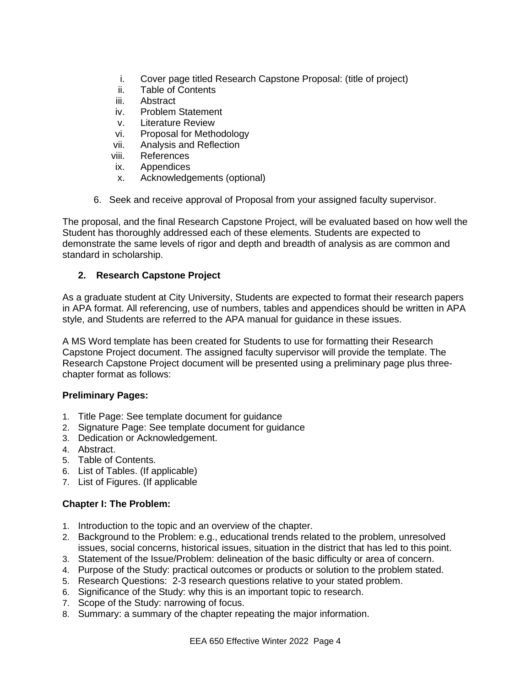- i. Cover page titled Research Capstone Proposal: (title of project)
- ii. Table of Contents
- iii. Abstract
- iv. Problem Statement
- v. Literature Review
- vi. Proposal for Methodology
- vii. Analysis and Reflection
- viii. References
- ix. Appendices
- x. Acknowledgements (optional)
- 6. Seek and receive approval of Proposal from your assigned faculty supervisor.

The proposal, and the final Research Capstone Project, will be evaluated based on how well the Student has thoroughly addressed each of these elements. Students are expected to demonstrate the same levels of rigor and depth and breadth of analysis as are common and standard in scholarship.

#### **2. Research Capstone Project**

As a graduate student at City University, Students are expected to format their research papers in APA format. All referencing, use of numbers, tables and appendices should be written in APA style, and Students are referred to the APA manual for guidance in these issues.

A MS Word template has been created for Students to use for formatting their Research Capstone Project document. The assigned faculty supervisor will provide the template. The Research Capstone Project document will be presented using a preliminary page plus threechapter format as follows:

#### **Preliminary Pages:**

- 1. Title Page: See template document for guidance
- 2. Signature Page: See template document for guidance
- 3. Dedication or Acknowledgement.
- 4. Abstract.
- 5. Table of Contents.
- 6. List of Tables. (If applicable)
- 7. List of Figures. (If applicable

## **Chapter I: The Problem:**

- 1. Introduction to the topic and an overview of the chapter.
- 2. Background to the Problem: e.g., educational trends related to the problem, unresolved issues, social concerns, historical issues, situation in the district that has led to this point.
- 3. Statement of the Issue/Problem: delineation of the basic difficulty or area of concern.
- 4. Purpose of the Study: practical outcomes or products or solution to the problem stated.
- 5. Research Questions: 2-3 research questions relative to your stated problem.
- 6. Significance of the Study: why this is an important topic to research.
- 7. Scope of the Study: narrowing of focus.
- 8. Summary: a summary of the chapter repeating the major information.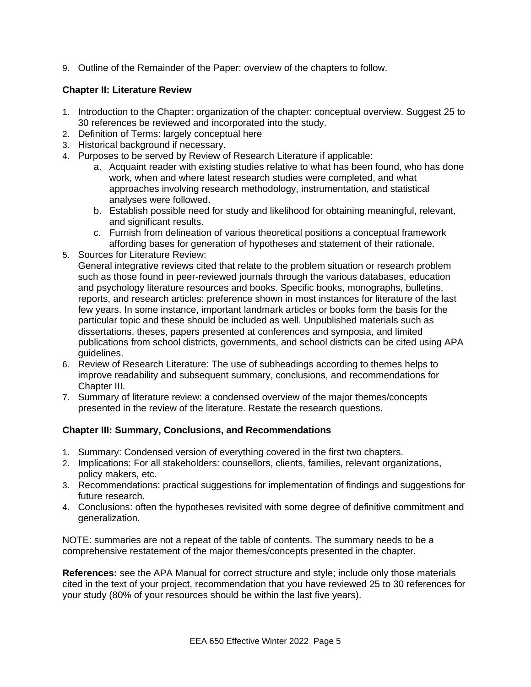9. Outline of the Remainder of the Paper: overview of the chapters to follow.

### **Chapter II: Literature Review**

- 1. Introduction to the Chapter: organization of the chapter: conceptual overview. Suggest 25 to 30 references be reviewed and incorporated into the study.
- 2. Definition of Terms: largely conceptual here
- 3. Historical background if necessary.
- 4. Purposes to be served by Review of Research Literature if applicable:
	- a. Acquaint reader with existing studies relative to what has been found, who has done work, when and where latest research studies were completed, and what approaches involving research methodology, instrumentation, and statistical analyses were followed.
	- b. Establish possible need for study and likelihood for obtaining meaningful, relevant, and significant results.
	- c. Furnish from delineation of various theoretical positions a conceptual framework affording bases for generation of hypotheses and statement of their rationale.
- 5. Sources for Literature Review:
- General integrative reviews cited that relate to the problem situation or research problem such as those found in peer-reviewed journals through the various databases, education and psychology literature resources and books. Specific books, monographs, bulletins, reports, and research articles: preference shown in most instances for literature of the last few years. In some instance, important landmark articles or books form the basis for the particular topic and these should be included as well. Unpublished materials such as dissertations, theses, papers presented at conferences and symposia, and limited publications from school districts, governments, and school districts can be cited using APA guidelines.
- 6. Review of Research Literature: The use of subheadings according to themes helps to improve readability and subsequent summary, conclusions, and recommendations for Chapter III.
- 7. Summary of literature review: a condensed overview of the major themes/concepts presented in the review of the literature. Restate the research questions.

#### **Chapter III: Summary, Conclusions, and Recommendations**

- 1. Summary: Condensed version of everything covered in the first two chapters.
- 2. Implications: For all stakeholders: counsellors, clients, families, relevant organizations, policy makers, etc.
- 3. Recommendations: practical suggestions for implementation of findings and suggestions for future research.
- 4. Conclusions: often the hypotheses revisited with some degree of definitive commitment and generalization.

NOTE: summaries are not a repeat of the table of contents. The summary needs to be a comprehensive restatement of the major themes/concepts presented in the chapter.

**References:** see the APA Manual for correct structure and style; include only those materials cited in the text of your project, recommendation that you have reviewed 25 to 30 references for your study (80% of your resources should be within the last five years).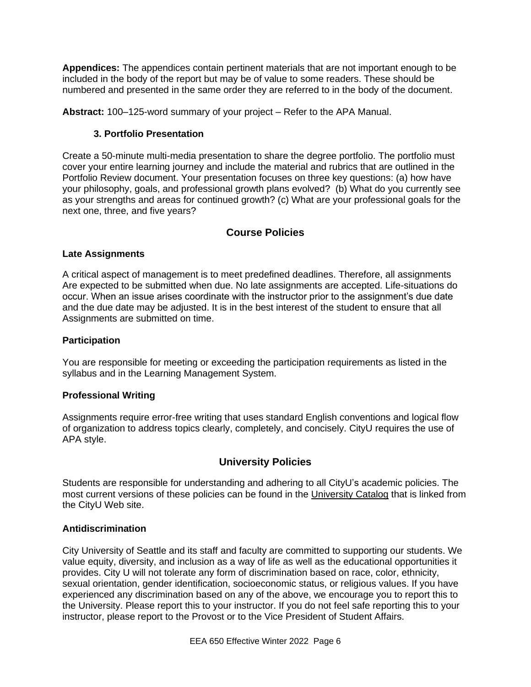**Appendices:** The appendices contain pertinent materials that are not important enough to be included in the body of the report but may be of value to some readers. These should be numbered and presented in the same order they are referred to in the body of the document.

**Abstract:** 100–125-word summary of your project – Refer to the APA Manual.

## **3. Portfolio Presentation**

Create a 50-minute multi-media presentation to share the degree portfolio. The portfolio must cover your entire learning journey and include the material and rubrics that are outlined in the Portfolio Review document. Your presentation focuses on three key questions: (a) how have your philosophy, goals, and professional growth plans evolved? (b) What do you currently see as your strengths and areas for continued growth? (c) What are your professional goals for the next one, three, and five years?

# **Course Policies**

## **Late Assignments**

A critical aspect of management is to meet predefined deadlines. Therefore, all assignments Are expected to be submitted when due. No late assignments are accepted. Life-situations do occur. When an issue arises coordinate with the instructor prior to the assignment's due date and the due date may be adjusted. It is in the best interest of the student to ensure that all Assignments are submitted on time.

#### **Participation**

You are responsible for meeting or exceeding the participation requirements as listed in the syllabus and in the Learning Management System.

#### **Professional Writing**

Assignments require error-free writing that uses standard English conventions and logical flow of organization to address topics clearly, completely, and concisely. CityU requires the use of APA style.

# **University Policies**

Students are responsible for understanding and adhering to all CityU's academic policies. The most current versions of these policies can be found in the [University Catalog](http://www.cityu.edu/catalog/) that is linked from the CityU Web site.

#### **Antidiscrimination**

City University of Seattle and its staff and faculty are committed to supporting our students. We value equity, diversity, and inclusion as a way of life as well as the educational opportunities it provides. City U will not tolerate any form of discrimination based on race, color, ethnicity, sexual orientation, gender identification, socioeconomic status, or religious values. If you have experienced any discrimination based on any of the above, we encourage you to report this to the University. Please report this to your instructor. If you do not feel safe reporting this to your instructor, please report to the Provost or to the Vice President of Student Affairs.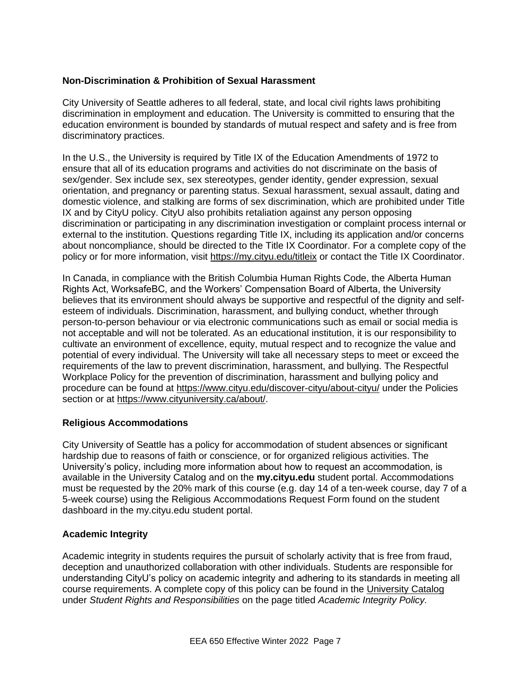#### **Non-Discrimination & Prohibition of Sexual Harassment**

City University of Seattle adheres to all federal, state, and local civil rights laws prohibiting discrimination in employment and education. The University is committed to ensuring that the education environment is bounded by standards of mutual respect and safety and is free from discriminatory practices.

In the U.S., the University is required by Title IX of the Education Amendments of 1972 to ensure that all of its education programs and activities do not discriminate on the basis of sex/gender. Sex include sex, sex stereotypes, gender identity, gender expression, sexual orientation, and pregnancy or parenting status. Sexual harassment, sexual assault, dating and domestic violence, and stalking are forms of sex discrimination, which are prohibited under Title IX and by CityU policy. CityU also prohibits retaliation against any person opposing discrimination or participating in any discrimination investigation or complaint process internal or external to the institution. Questions regarding Title IX, including its application and/or concerns about noncompliance, should be directed to the Title IX Coordinator. For a complete copy of the policy or for more information, visit<https://my.cityu.edu/titleix> or contact the Title IX Coordinator.

In Canada, in compliance with the British Columbia Human Rights Code, the Alberta Human Rights Act, WorksafeBC, and the Workers' Compensation Board of Alberta, the University believes that its environment should always be supportive and respectful of the dignity and selfesteem of individuals. Discrimination, harassment, and bullying conduct, whether through person-to-person behaviour or via electronic communications such as email or social media is not acceptable and will not be tolerated. As an educational institution, it is our responsibility to cultivate an environment of excellence, equity, mutual respect and to recognize the value and potential of every individual. The University will take all necessary steps to meet or exceed the requirements of the law to prevent discrimination, harassment, and bullying. The Respectful Workplace Policy for the prevention of discrimination, harassment and bullying policy and procedure can be found at<https://www.cityu.edu/discover-cityu/about-cityu/> under the Policies section or at [https://www.cityuniversity.ca/about/.](https://www.cityuniversity.ca/about/)

#### **Religious Accommodations**

City University of Seattle has a policy for accommodation of student absences or significant hardship due to reasons of faith or conscience, or for organized religious activities. The University's policy, including more information about how to request an accommodation, is available in the University Catalog and on the **my.cityu.edu** student portal. Accommodations must be requested by the 20% mark of this course (e.g. day 14 of a ten-week course, day 7 of a 5-week course) using the Religious Accommodations Request Form found on the student dashboard in the my.cityu.edu student portal.

#### **Academic Integrity**

Academic integrity in students requires the pursuit of scholarly activity that is free from fraud, deception and unauthorized collaboration with other individuals. Students are responsible for understanding CityU's policy on academic integrity and adhering to its standards in meeting all course requirements. A complete copy of this policy can be found in the [University Catalog](http://www.cityu.edu/catalog/) under *Student Rights and Responsibilities* on the page titled *Academic Integrity Policy.*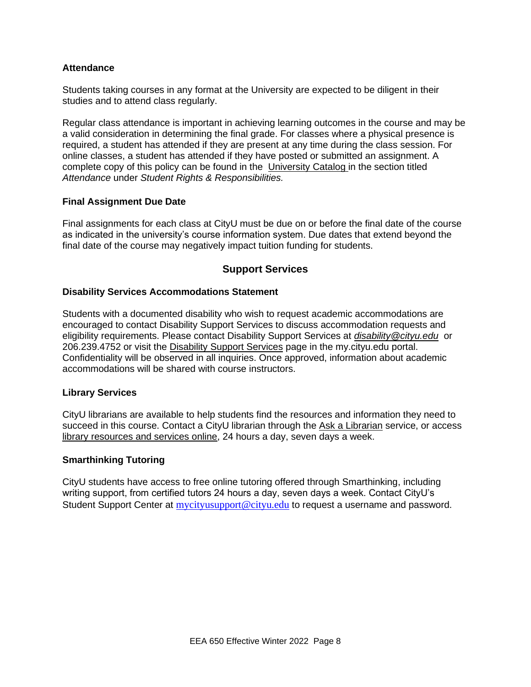#### **Attendance**

Students taking courses in any format at the University are expected to be diligent in their studies and to attend class regularly.

Regular class attendance is important in achieving learning outcomes in the course and may be a valid consideration in determining the final grade. For classes where a physical presence is required, a student has attended if they are present at any time during the class session. For online classes, a student has attended if they have posted or submitted an assignment. A complete copy of this policy can be found in the [University Catalog](http://www.cityu.edu/catalog/) in the section titled *Attendance* under *Student Rights & Responsibilities.*

#### **Final Assignment Due Date**

Final assignments for each class at CityU must be due on or before the final date of the course as indicated in the university's course information system. Due dates that extend beyond the final date of the course may negatively impact tuition funding for students.

#### **Support Services**

#### **Disability Services Accommodations Statement**

Students with a documented disability who wish to request academic accommodations are encouraged to contact Disability Support Services to discuss accommodation requests and eligibility requirements. Please contact Disability Support Services at *[disability@cityu.edu](mailto:disability@cityu.edu)* or 206.239.4752 or visit the [Disability Support Services](https://my.cityu.edu/department/disability-support-services/) page in the my.cityu.edu portal. Confidentiality will be observed in all inquiries. Once approved, information about academic accommodations will be shared with course instructors.

#### **Library Services**

CityU librarians are available to help students find the resources and information they need to succeed in this course. Contact a CityU librarian through the [Ask a Librarian](http://library.cityu.edu/ask-a-librarian/) service, or access [library resources and services online,](http://library.cityu.edu/) 24 hours a day, seven days a week.

#### **Smarthinking Tutoring**

CityU students have access to free online tutoring offered through Smarthinking, including writing support, from certified tutors 24 hours a day, seven days a week. Contact CityU's Student Support Center at [mycityusupport@cityu.edu](mailto:mycityusupport@cityu.edu) to request a username and password.